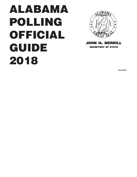# ALABAMA POLLING OFFICIAL GUIDE 2018



john h. merrill *secretary of state*

**10.25.2017**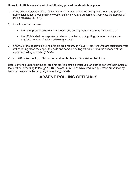#### **If precinct officials are absent, the following procedure should take place:**

- 1) If any precinct election official fails to show up at their appointed voting place in time to perform their official duties, those precinct election officials who are present shall complete the number of polling officials (§17-8-6).
- 2) If the Inspector is absent:
	- the other present officials shall choose one among them to serve as Inspector, and
	- the officials shall also appoint an elector qualified at that polling place to complete the requisite number of polling officials (§17-8-6).
- 3) If NONE of the appointed polling officials are present, any four (4) electors who are qualified to vote at that polling place may open the polls and serve as polling officials during the absence of the appointed polling officials (§17-8-6).

#### **Oath of Office for polling officials (located on the back of the Voters Poll List):**

Before entering upon their duties, precinct election officials must take an oath to perform their duties at the election, according to law (§17-8-8). The oath may be administered by any person authorized by law to administer oaths or by any inspector (§17-8-8).

### **ABSENT POLLING OFFICIALS**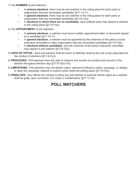1) The **NUMBER** of poll watchers:

- In **primary elections**, there may be one watcher in the voting place for each party or organization that has nominated candidates (§17-13-11).
- In **general elections**, there may be one watcher in the voting place for each party or organization that has nominated candidates (§17-8-7(a)).
- In **elections in which there are no candidates**, each political party may appoint a watcher in the voting place  $(\S 17 - 8 - 7(a))$ .

2) The **APPOINTMENT** of poll watchers:

- In **primary elections**, a watcher must have a written appointment letter or document signed by a candidate (§17-13-11).
- In **general elections**, a watcher must be appointed by the chairman of the party's county executive committee or other organization that has nominated candidates (§17-8-7(a)).
- In **elections without candidates**, only the chairman of the party's executive committee may appoint a poll watcher (§17-8-7(a)).
- 3) **OATH OF OFFICE -** Each poll watcher shall be sworn to faithfully observe the rule of law prescribed for the conduct of elections (§17-8-7(c)).
- 4) **PRIVILEGES -** Poll watchers have the right to observe and monitor all conduct and records of the election throughout election day (§17-8-7(b)(1-6)).
- 5) **LIMITATIONS -** Poll watchers may not disturb voters, attempt to influence voters, campaign, or display or wear any campaign material or buttons while inside the polling place (§17-8-7(d)).
- 6) **PENALTIES** Any official who refuses to allow any poll watcher to exercise his/her rights as a watcher shall be guilty, upon conviction, of a Class C misdemeanor (§17-17-22).

### **POLL WATCHERS**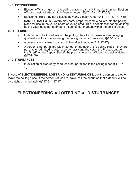### **1) ELECTIONEERING:**

- Election officials must run the polling place in a strictly impartial manner. Election officials must not attempt to influence voters (§§17-17-4, 17-17-55).
- Election officials may not disclose how any elector voted (§§17-17-18, 17-17-55).
- **• SAMPLE BALLOTS** Voters may carry prepared sample ballots into the polling place for use in the voting booth or voting area. This is not electioneering, as long as the voter does not attempt to influence other voters within the polling place.

### **2) LOITERING:**

- Loitering is not allowed around the polling place for purposes of discouraging qualified electors from entering the polling place or from voting (§17-17-17).
- A person is not allowed to stand in line after they vote (§17-17-17).
- A person is not permitted within 30 feet of the door of the polling place if they are not a voter admitted to vote, a person assisting the voter, the Probate Judge, the Sheriff or the Deputy Sheriff, the precinct election officials, and poll watchers (§17-9-50).

### **3) DISTURBANCES:**

• Intoxication or disorderly conduct is not permitted in the polling place (§17-17- 12).

In case of **ELECTIONEERING, LOITERING, or DISTURBANCES**, ask the person to stop or leave the polling place. If the person refuses to leave, call the sheriff so that a deputy will be dispatched immediately (§§17-9-1, 17-17-1).

### **ELECTIONEERING LOITERING DISTURBANCES**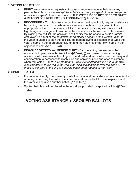#### **1) VOTING ASSISTANCE:**

- **• RIGHT -** Any voter who requests voting assistance may receive help from any person the voter chooses *except the voter's employer, an agent of the employer, or an officer or agent of the voter's union.* **THE VOTER DOES NOT NEED TO STATE A REASON FOR REQUESTING ASSISTANCE** (§17-9-13(a)).
- **• PROCEDURE -** To obtain assistance, the voter must specifically request assistance by naming the person from whom assistance is sought and by signing in the appropriate column of the voters poll list. The person providing assistance shall legibly sign in the adjacent column on the same line as the assisted voter's name. By signing the poll list, the assistant shall certify that he or she is *not the voter's employer, an agent of the employer, or an officer or agent of the voter's union.* If the voter is unable to sign the poll list, the person giving assistance shall write the voter's name in the appropriate column and then sign his or her own name in the adjacent column (§17-9-13(a)).
- **• DISABLED VOTERS and SENIOR CITIZENS** The voting process must be accessible to persons with disabilities (§17-2-4(c)) and senior citizens. Polling officials shall make available voting aids, and poll workers shall extend courtesy and consideration to persons with disabilities and senior citizens and offer assistance when requested. *Effective September 1, 2015, Act of Alabama 2015-288, permits a polling official to allow a voter who is physically disabled or over the age of 70 to move to the front of the line at a polling place upon request of the voter.*

### **2) SPOILED BALLOTS:**

- If a voter accidently or mistakenly spoils the ballot and he or she cannot conveniently or safely vote using the ballot, the voter may return the ballot to the inspector, and the voter will be given another ballot (§17-9-14(a)).
- Spoiled ballots shall be placed in the envelope provided for spoiled ballots (§17-9-  $14(b)$ ).

### **VOTING ASSISTANCE SPOILED BALLOTS**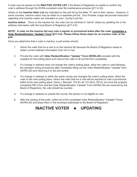A voter may be placed on the **INACTIVE VOTER LIST** if the Board of Registrars is unable to confirm the voter's address through the NVRA-compliant voter file maintenance process (§17-4-30).

Voters on the **Inactive Voter List** are indicated on the poll list by the letter **"I"** next to their names. However, in some counties, inactive voters may be listed on a separate poll list. Your Probate Judge will provide instruction regarding how inactive voters are indicated on your county's poll list.

**Inactive status:** Once on the inactive list, the voter can be restored to "active" status by updating his or her address information with the local Board of Registrars (§17-4-9).

#### **NOTE: A voter on the inactive list may vote a regular or provisional ballot after the voter completes a Voter Reidentification "Update" Form (§17-4-9). Please follow these steps for an inactive voter at the poll:**

Once you determine that a voter is inactive, a poll worker should:

- 1. Inform the voter that he or she is on the inactive list because the Board of Registrars needs to obtain current address information from him or her.
- 2. Provide the voter with **Voter Reidentification "Update" Form (NVRA-20)** included with the supplies for the polling place and instruct the voter to fill out the form completely.
- 3. If a change in address does not change the voter's polling place, allow the voter to vote following the standard voting procedures after completely filling out the Voter Reidentification "Update" form (NVRA-20) and returning it to the poll worker.
- 4. If a change in address is within the same county and changes the voter's polling place, direct the voter to the new polling place. Inform the voter that he or she will be required to vote a provisional ballot at the new polling place, Davis v. Bennett, 154 So.3d 114 (ALA. 2014), but once the properly completed PB-3 form and the Voter Reidentification "Update" Form (NVRA-20) are received by the Board of Registrars, the vote should be counted.
- 5. If a change in address is outside the county, the person is not eligible to vote.
- 6. After the closing of the polls, collect all of the completed Voter Reidentification "Update" Forms (NVRA-20) and place them in the envelope addressed to the Board of Registrars.

### **INACTIVE VOTER UPDATING**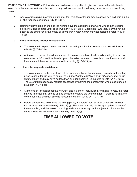**VOTING TIME ALLOWANCE -** Poll workers should make every effort to give each voter adequate time to vote. Only if others are waiting in line to vote may poll workers use the following procedures to prevent long delays:

- 1) Any voter remaining in a voting station for four minutes or longer may be asked by a poll official if he or she requires assistance (§17-9-13(b)).
- 2) Remind voter that he or she has the right to have the assistance of anyone who is in the polling place, including another voter or poll worker (§17-9-13(b)). Exception: *The voter's employer, an agent of the employer, or an officer or agent of the voter's union* may not assist the voter (§17-9- 13(a)).

#### 3) **If the voter does not desire assistance:**

- The voter shall be permitted to remain in the voting station for **no less than one additional minute** (§17-9-13(b)).
- At the end of this additional minute, and if there exists a line of individuals waiting to vote, the voter may be informed that time is up and be asked to leave. If there is no line, the voter shall have as much time as necessary to finish voting (§17-9-13(b)).

#### 4) **If the voter requests assistance:**

- The voter may have the assistance of any person of his or her choosing currently in the voting place, (except for *the voter's employer, an agent of the employer, or an officer or agent of the voter's union*) and may have no less than an additional five (5) minutes to vote (§17-9-13(b)). The voter must specifically request assistance by naming the person from whom assistance is sought (§17-9-13(a)).
- At the end of this additional five minutes, and if a line of individuals are waiting to vote, the voter may be informed that time is up and be asked to leave the voting station. If there is no line, the voter shall have as much time as necessary to finish voting (§17-9-13(b)).
- Before an assigned voter exits the voting place, the voters' poll list must be revised to reflect that assistance was received (§17-9-13(b)). The voter must sign in the appropriate column of the voter's list, and the person providing assistance must sign in the adjacent column on the same line as the assisted voter's name (§17-9-13(a)).

### **TIME ALLOWED TO VOTE**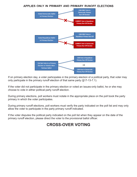#### **applies only in primary and primary runoff elections**



If on primary election day, a voter participates in the primary election of a political party, that voter may only particpate in the primary runoff election of that same party (§17-13-7.1).

If the voter did not participate in the primary election or voted an issues-only ballot, he or she may choose to vote in either political party runoff election.

During primary elections, poll workers must notate in the appropriate place on the poll book the party primary in which the voter participates.

During primary runoff elections, poll workers must verify the party indicated on the poll list and may only allow the voter to participate in the party primary runoff indicated.

If the voter disputes the political party indicated on the poll list when they appear on the date of the primary runoff election, please direct the voter to the provisional ballot officer.

### **CROSS-OVER VOTING**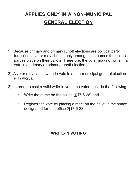## **applies only in <sup>a</sup> non-municipal general election**

- 1) Because primary and primary runoff elections are political party functions, a voter may choose only among those names the political parties place on their ballots. Therefore, the voter may not write in a vote in a primary or primary runoff election.
- 2) A voter may cast a write-in vote in a non-municipal general election (§17-6-28).
- 3) In order to cast a valid write-in vote, the voter must do the following:
	- Write the name on the ballot, (§17-6-28) and
	- Register the vote by placing a mark on the ballot in the space designated for that office (§17-6-28).

### **WRITE-IN VOTING**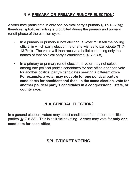### **in <sup>a</sup> primary or primary runoff election:**

A voter may participate in only one political party's primary (§17-13-7(a)); therefore, split-ticket voting is prohibited during the primary and primary runoff phase of the election cycle.

- In a primary or primary runoff election, a voter must tell the polling official in which party election he or she wishes to participate (§17- 13-7(b)). The voter will then receive a ballot containing only the names of that political party's candidates (§17-13-8).
- In a primary or primary runoff election, a voter may not select among one political party's candidates for one office and then vote for another political party's candidates seeking a different office. **For example, a voter may not vote for one political party's candidates for president and then, in the same election, vote for another political party's candidates in a congressional, state, or county race.**

### **in a general election:**

In a general election, voters may select candidates from different political parties (§17-6-38). This is split-ticket voting. A voter may vote for **only one candidate for each office**.

### **SPLIT-TICKET VOTING**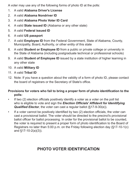A voter may use any of the following forms of photo ID at the polls:

- 1. A valid **Alabama Driver's License**
- 2. A valid **Alabama Nondriver ID**
- 3. A valid **Alabama Photo Voter ID Card**
- 4. A valid **State issued ID** (Alabama or any other state)
- 5. A valid **Federal issued ID**
- 6. A valid **US passport**
- 7. A valid **Employee ID** from the Federal Government, State of Alabama, County, Municipality, Board, Authority, or other entity of this state
- 8. A valid **Student or Employee ID** from a public or private college or university in the State of Alabama (including postgraduate technical or professional schools)
- 9. A valid **Student of Employee ID** issued by a state institution of higher learning in any other state
- 10. A valid **Military ID**
- 11. A valid **Tribal ID**
- 12. Note: If you have a question about the validity of a form of photo ID, please contact the board of registrars or the Secretary of State's office.

### **Provisions for voters who fail to bring a proper form of photo identification to the polls:**

- If two (2) election officials positively identify a voter as a voter on the poll list who is eligible to vote and sign the *Election Officials' Affidavit for Idenitifying Qualified Elector*, the voter can cast a regular ballot (§17-9-30(e)).
- If a voter cannot be positively identified by two (2) election officials, the voter can cast a provisional ballot. The voter should be directed to the precinct's provisional ballot officer for ballot processing. In order for the provisional ballot to be counted, the voter is required to present a proper form of photo identification to the Board of Registrars no later than 5:00 p.m. on the Friday following election day (§17-10-1(c) and §17-10-2(a)(3)).

### **PHOTO VOTER IDENTIFICATION**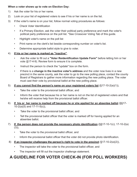#### **When a voter shows up to vote on Election Day:**

- 1) Ask the voter for his or her name.
- 2) Look on your list of registered voters to see if his or her name is on the list.
- 3) If the voter's name is on your list, follow normal voting procedures as follows:
	- Check Voter Identification
	- If a Primary Election, ask the voter their political party preference and mark the voter's political party preference on the poll list. \*See Crossover Voting Tab of this guide.
	- Highlight voter's name on the poll list
	- Print name on the clerk's list beside corresponding number on voter's list.
	- Determine appropriate ballot style to give to voter.

### 4) **If his or her name is marked as "inactive"**,

- Ask the voter to fill out a **"Voter Reidentification Update Form"** before letting him or her vote (§17-4-9). Review form to ensure it is complete.
- Instruct the person to check the "update" box on the form.
- If there is a **change in the inactive voter's address** and the voter now lives in a new precinct in the same county, ask the voter to go to the new polling place, contact the county Board of Registrars to gather more information regarding the new polling place. The voter must cast their vote by provisional ballot at the new polling place.

### 5) **If you cannot find the person's name on your registered voters list** (§17-10-2(a)(1)),

- Take the voter to the provisional ballot officer, and
- Inform the voter that because his or her name is not on the list of registered voters and that he/she will receive help from the provisional ballot officer.
- 6) **If his or her name is marked off because he or she applied for an absentee ballot** (§§17- 10-2(a)(5) and 17-11-5(c)),
	- Take the voter to the provisional ballot officer, and
	- Tell the provisional ballot officer that the voter is marked off for having applied for an absentee ballot.
- 7) **If the person does not provide the necessary photo identification** (§§17-10-1(c); 17-10-2(a)  $(3)$ ,
	- Take the voter to the provisional ballot officer, and
	- Inform the provisional ballot officer that the voter did not provide photo identification.
- 8) **If an inspector challenges the person's right to vote in the precinct** (§17-10-2(a)(2)),
	- The inspector will take the voter to the provisional ballot officer, and
	- The inspector will fill out the inspector challenge statement.

### **A GUIDELINE FOR VOTER CHECK-IN (FOR POLL WORKERS)**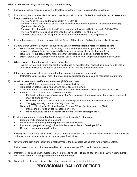#### **When a poll worker brings a voter to you, do the following:**

- 1) Explain provisional process to voter and to voter's assistant, if voter has requested assistance.
- 2) Find out why the voter was identified as a potential provisional voter. **Be familiar with this list of reasons that trigger provisional voting:**
	- The voter's name is not on the voter list  $(\S17-10-2(a)(1))$ .
	- The voter's name was marked off the voter list because he or she applied for an absentee ballot (§§ 17-10- 2(a)(5) and 17-11-5(c)).
	- The voter did not provide voter identification, as required by law  $(\S17-10-1(c)$  and  $17-10-2(a)(3))$ .
	- The voter's right to vote is being challenged by an inspector  $(\S 17 10 2(a)(2))$ .
	- The voter disputes the political party indicated in the primary runoff election polling list.
- 3) If the voter's name is not found on voter list, call Board of Registrars to find out if voter is eligible to vote.
- 4) If Board of Registrars or a member of appointing board **confirms that the voter is eligible to vote**:
	- Write name of the Registrar or appointing board member (Probate Judge, Circuit Clerk, Sheriff, or designee) who confirmed voter's eligibility, in shaded space on the back of update form.
	- Have voter fill out update form. Make sure that verification box is check marked on form.
	- Direct voter to a poll worker to vote a regular ballot. Remind voter to giveupdate form to poll worker.

#### 5) **When a voter's eligibility to vote cannot be verified:**

• Explain to voter and voter's assistant, if he/she has an assistant, that he/she has a legal right to vote a provisional ballot and the details of provisional voting. Provide written instructions.

#### 6) **If the voter wants to vote a provisional ballot, secure the proper roster, and:**

• Instruct the voter to sign or mark the provisional ballot roster and complete all requested information.

#### 7) **Obtain a provisional verification statement (PB-3), and then:**

- Write on **PB-3** the line number from the provisional ballot roster.
- Write election date, precinct number and ballot style on the **PB-3**.
- Check the correct box on the **PB-3** to mark the reason why the voter is casting a provisional ballot.
- After you have completed your portion of the **PB-3**:
	- Explain to voter and voter's assistant, if he/she has requested an assistant, that a sworn statement must be signed by voter.
	- Have voter or voter's assistant complete the requested information on sworn statement.
	- The voter must sign or mark the "signature line."
	- Direct voter to fill out **Voter Reidentification "Update" Form** that is attached to **PB-3**.
		- Make sure "provisional" box is checked on form.
		- Place completed **PB-3** in **Precinct Provisional Return Envelope (PB-4)**.

#### 8) **If voter is voting a provisional ballot because of an inspector's challenge,**

- Separate multi-part challenge statement.
- Place original statement (**white copy**) in provisional ballot box.
- Place one copy (**yellow copy**) in **Precinct Provisional Return Envelope (PB-4)**.
- Give one copy (**pink copy**) to voter.
- 9) Before giving voter a provisional ballot, place a provisional sticker over timing mark area located on left-hand side of the ballot, and instruct voter not to remove pre-affixed sticker.
- 10) Give voter the provisional ballot and direct him/her to the designated voting area for provisional voters.
- 11) Instruct voter to place his/her completed ballot in inner envelope (**PB-1**) and to seal envelope.
- 12) Instruct voter to place inner envelope (**PB-1**) in outer envelope (**PB-2**) and seal envelope. **Write voter's name and roster number in designated areas on this envelope.**
- 13) Direct voter to place provisional ballot outer envelope into provisional ballot box.

### **PROVISIONAL BALLOT OFFICER**